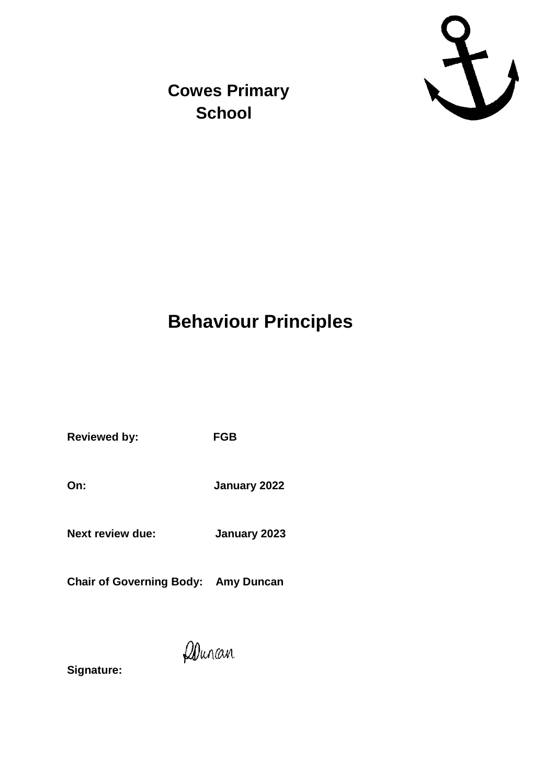

**Cowes Primary School**

## **Behaviour Principles**

**Reviewed by: FGB**

**On: January 2022**

**Next review due: January 2023**

**Chair of Governing Body: Amy Duncan**

Donan

**Signature:**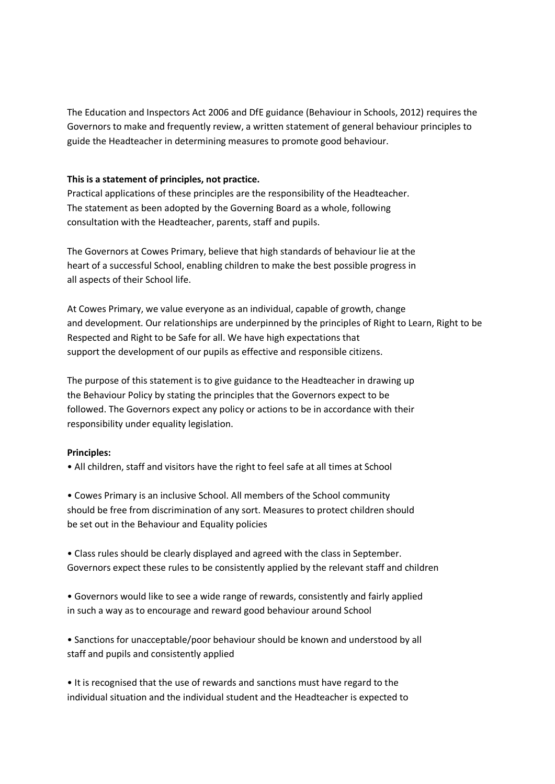The Education and Inspectors Act 2006 and DfE guidance (Behaviour in Schools, 2012) requires the Governors to make and frequently review, a written statement of general behaviour principles to guide the Headteacher in determining measures to promote good behaviour.

## **This is a statement of principles, not practice.**

Practical applications of these principles are the responsibility of the Headteacher. The statement as been adopted by the Governing Board as a whole, following consultation with the Headteacher, parents, staff and pupils.

The Governors at Cowes Primary, believe that high standards of behaviour lie at the heart of a successful School, enabling children to make the best possible progress in all aspects of their School life.

At Cowes Primary, we value everyone as an individual, capable of growth, change and development. Our relationships are underpinned by the principles of Right to Learn, Right to be Respected and Right to be Safe for all. We have high expectations that support the development of our pupils as effective and responsible citizens.

The purpose of this statement is to give guidance to the Headteacher in drawing up the Behaviour Policy by stating the principles that the Governors expect to be followed. The Governors expect any policy or actions to be in accordance with their responsibility under equality legislation.

## **Principles:**

• All children, staff and visitors have the right to feel safe at all times at School

• Cowes Primary is an inclusive School. All members of the School community should be free from discrimination of any sort. Measures to protect children should be set out in the Behaviour and Equality policies

• Class rules should be clearly displayed and agreed with the class in September. Governors expect these rules to be consistently applied by the relevant staff and children

• Governors would like to see a wide range of rewards, consistently and fairly applied in such a way as to encourage and reward good behaviour around School

• Sanctions for unacceptable/poor behaviour should be known and understood by all staff and pupils and consistently applied

• It is recognised that the use of rewards and sanctions must have regard to the individual situation and the individual student and the Headteacher is expected to